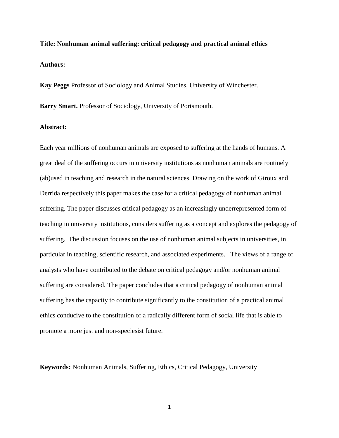**Title: Nonhuman animal suffering: critical pedagogy and practical animal ethics Authors:** 

**Kay Peggs** Professor of Sociology and Animal Studies, University of Winchester.

**Barry Smart.** Professor of Sociology, University of Portsmouth.

# **Abstract:**

Each year millions of nonhuman animals are exposed to suffering at the hands of humans. A great deal of the suffering occurs in university institutions as nonhuman animals are routinely (ab)used in teaching and research in the natural sciences. Drawing on the work of Giroux and Derrida respectively this paper makes the case for a critical pedagogy of nonhuman animal suffering. The paper discusses critical pedagogy as an increasingly underrepresented form of teaching in university institutions, considers suffering as a concept and explores the pedagogy of suffering. The discussion focuses on the use of nonhuman animal subjects in universities, in particular in teaching, scientific research, and associated experiments. The views of a range of analysts who have contributed to the debate on critical pedagogy and/or nonhuman animal suffering are considered. The paper concludes that a critical pedagogy of nonhuman animal suffering has the capacity to contribute significantly to the constitution of a practical animal ethics conducive to the constitution of a radically different form of social life that is able to promote a more just and non-speciesist future.

**Keywords:** Nonhuman Animals, Suffering, Ethics, Critical Pedagogy, University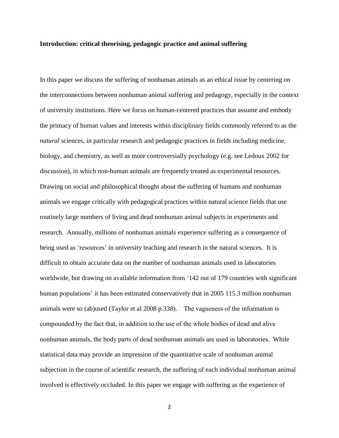### **Introduction: critical theorising, pedagogic practice and animal suffering**

In this paper we discuss the suffering of nonhuman animals as an ethical issue by centering on the interconnections between nonhuman animal suffering and pedagogy, especially in the context of university institutions. Here we focus on human-centered practices that assume and embody the primacy of human values and interests within disciplinary fields commonly referred to as the *natural* sciences, in particular research and pedagogic practices in fields including medicine, biology, and chemistry, as well as more controversially psychology (e.g. see Ledoux 2002 for discussion), in which non-human animals are frequently treated as experimental resources. Drawing on social and philosophical thought about the suffering of humans and nonhuman animals we engage critically with pedagogical practices within natural science fields that use routinely large numbers of living and dead nonhuman animal subjects in experiments and research. Annually, millions of nonhuman animals experience suffering as a consequence of being used as 'resources' in university teaching and research in the natural sciences. It is difficult to obtain accurate data on the number of nonhuman animals used in laboratories worldwide, but drawing on available information from '142 out of 179 countries with significant human populations' it has been estimated conservatively that in 2005 115.3 million nonhuman animals were so (ab)used (Taylor et al 2008 p.338). The vagueness of the information is compounded by the fact that, in addition to the use of the whole bodies of dead and alive nonhuman animals, the body parts of dead nonhuman animals are used in laboratories. While statistical data may provide an impression of the quantitative scale of nonhuman animal subjection in the course of scientific research, the suffering of each individual nonhuman animal involved is effectively occluded. In this paper we engage with suffering as the experience of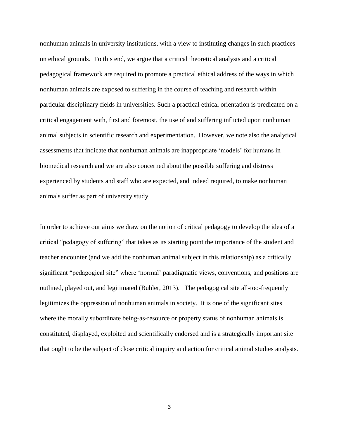nonhuman animals in university institutions, with a view to instituting changes in such practices on ethical grounds. To this end, we argue that a critical theoretical analysis and a critical pedagogical framework are required to promote a practical ethical address of the ways in which nonhuman animals are exposed to suffering in the course of teaching and research within particular disciplinary fields in universities. Such a practical ethical orientation is predicated on a critical engagement with, first and foremost, the use of and suffering inflicted upon nonhuman animal subjects in scientific research and experimentation. However, we note also the analytical assessments that indicate that nonhuman animals are inappropriate 'models' for humans in biomedical research and we are also concerned about the possible suffering and distress experienced by students and staff who are expected, and indeed required, to make nonhuman animals suffer as part of university study.

In order to achieve our aims we draw on the notion of critical pedagogy to develop the idea of a critical "pedagogy of suffering" that takes as its starting point the importance of the student and teacher encounter (and we add the nonhuman animal subject in this relationship) as a critically significant "pedagogical site" where 'normal' paradigmatic views, conventions, and positions are outlined, played out, and legitimated (Buhler, 2013). The pedagogical site all-too-frequently legitimizes the oppression of nonhuman animals in society. It is one of the significant sites where the morally subordinate being-as-resource or property status of nonhuman animals is constituted, displayed, exploited and scientifically endorsed and is a strategically important site that ought to be the subject of close critical inquiry and action for critical animal studies analysts.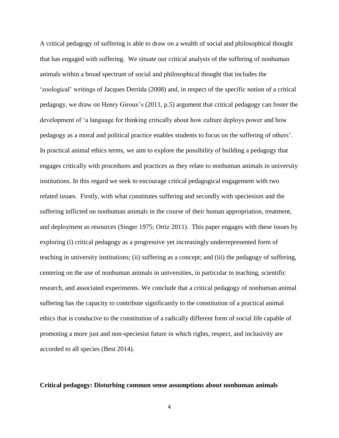A critical pedagogy of suffering is able to draw on a wealth of social and philosophical thought that has engaged with suffering. We situate our critical analysis of the suffering of nonhuman animals within a broad spectrum of social and philosophical thought that includes the 'zoological' writings of Jacques Derrida (2008) and, in respect of the specific notion of a critical pedagogy, we draw on Henry Giroux's (2011, p.5) argument that critical pedagogy can foster the development of 'a language for thinking critically about how culture deploys power and how pedagogy as a moral and political practice enables students to focus on the suffering of others'. In practical animal ethics terms, we aim to explore the possibility of building a pedagogy that engages critically with procedures and practices as they relate to nonhuman animals in university institutions. In this regard we seek to encourage critical pedagogical engagement with two related issues. Firstly, with what constitutes suffering and secondly with speciesism and the suffering inflicted on nonhuman animals in the course of their human appropriation, treatment, and deployment as resources (Singer 1975; Ortiz 2011). This paper engages with these issues by exploring (i) critical pedagogy as a progressive yet increasingly underrepresented form of teaching in university institutions; (ii) suffering as a concept; and (iii) the pedagogy of suffering, centering on the use of nonhuman animals in universities, in particular in teaching, scientific research, and associated experiments. We conclude that a critical pedagogy of nonhuman animal suffering has the capacity to contribute significantly to the constitution of a practical animal ethics that is conducive to the constitution of a radically different form of social life capable of promoting a more just and non-speciesist future in which rights, respect, and inclusivity are accorded to all species (Best 2014).

# **Critical pedagogy: Disturbing common sense assumptions about nonhuman animals**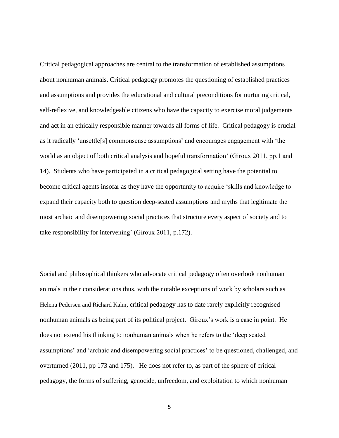Critical pedagogical approaches are central to the transformation of established assumptions about nonhuman animals. Critical pedagogy promotes the questioning of established practices and assumptions and provides the educational and cultural preconditions for nurturing critical, self-reflexive, and knowledgeable citizens who have the capacity to exercise moral judgements and act in an ethically responsible manner towards all forms of life. Critical pedagogy is crucial as it radically 'unsettle[s] commonsense assumptions' and encourages engagement with 'the world as an object of both critical analysis and hopeful transformation' (Giroux 2011, pp.1 and 14). Students who have participated in a critical pedagogical setting have the potential to become critical agents insofar as they have the opportunity to acquire 'skills and knowledge to expand their capacity both to question deep-seated assumptions and myths that legitimate the most archaic and disempowering social practices that structure every aspect of society and to take responsibility for intervening' (Giroux 2011, p.172).

Social and philosophical thinkers who advocate critical pedagogy often overlook nonhuman animals in their considerations thus, with the notable exceptions of work by scholars such as Helena Pedersen and Richard Kahn, critical pedagogy has to date rarely explicitly recognised nonhuman animals as being part of its political project. Giroux's work is a case in point. He does not extend his thinking to nonhuman animals when he refers to the 'deep seated assumptions' and 'archaic and disempowering social practices' to be questioned, challenged, and overturned (2011, pp 173 and 175). He does not refer to, as part of the sphere of critical pedagogy, the forms of suffering, genocide, unfreedom, and exploitation to which nonhuman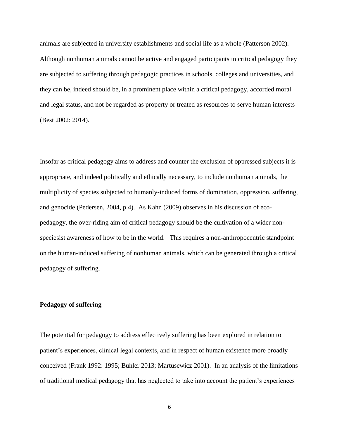animals are subjected in university establishments and social life as a whole (Patterson 2002). Although nonhuman animals cannot be active and engaged participants in critical pedagogy they are subjected to suffering through pedagogic practices in schools, colleges and universities, and they can be, indeed should be, in a prominent place within a critical pedagogy, accorded moral and legal status, and not be regarded as property or treated as resources to serve human interests (Best 2002: 2014).

Insofar as critical pedagogy aims to address and counter the exclusion of oppressed subjects it is appropriate, and indeed politically and ethically necessary, to include nonhuman animals, the multiplicity of species subjected to humanly-induced forms of domination, oppression, suffering, and genocide (Pedersen, 2004, p.4). As Kahn (2009) observes in his discussion of ecopedagogy, the over-riding aim of critical pedagogy should be the cultivation of a wider nonspeciesist awareness of how to be in the world. This requires a non-anthropocentric standpoint on the human-induced suffering of nonhuman animals, which can be generated through a critical pedagogy of suffering.

# **Pedagogy of suffering**

The potential for pedagogy to address effectively suffering has been explored in relation to patient's experiences, clinical legal contexts, and in respect of human existence more broadly conceived (Frank 1992: 1995; Buhler 2013; Martusewicz 2001). In an analysis of the limitations of traditional medical pedagogy that has neglected to take into account the patient's experiences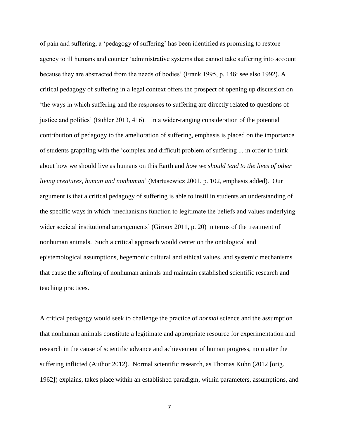of pain and suffering, a 'pedagogy of suffering' has been identified as promising to restore agency to ill humans and counter 'administrative systems that cannot take suffering into account because they are abstracted from the needs of bodies' (Frank 1995, p. 146; see also 1992). A critical pedagogy of suffering in a legal context offers the prospect of opening up discussion on 'the ways in which suffering and the responses to suffering are directly related to questions of justice and politics' (Buhler 2013, 416). In a wider-ranging consideration of the potential contribution of pedagogy to the amelioration of suffering, emphasis is placed on the importance of students grappling with the 'complex and difficult problem of suffering ... in order to think about how we should live as humans on this Earth and *how we should tend to the lives of other living creatures, human and nonhuman*' (Martusewicz 2001, p. 102, emphasis added). Our argument is that a critical pedagogy of suffering is able to instil in students an understanding of the specific ways in which 'mechanisms function to legitimate the beliefs and values underlying wider societal institutional arrangements' (Giroux 2011, p. 20) in terms of the treatment of nonhuman animals. Such a critical approach would center on the ontological and epistemological assumptions, hegemonic cultural and ethical values, and systemic mechanisms that cause the suffering of nonhuman animals and maintain established scientific research and teaching practices.

A critical pedagogy would seek to challenge the practice of *normal* science and the assumption that nonhuman animals constitute a legitimate and appropriate resource for experimentation and research in the cause of scientific advance and achievement of human progress, no matter the suffering inflicted (Author 2012). Normal scientific research, as Thomas Kuhn (2012 [orig. 1962]) explains, takes place within an established paradigm, within parameters, assumptions, and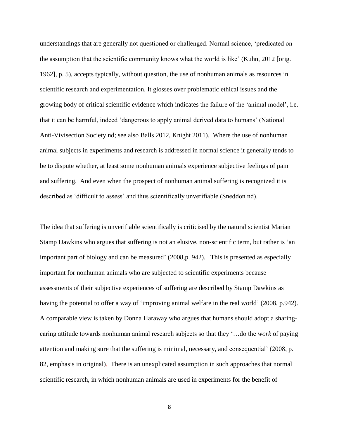understandings that are generally not questioned or challenged. Normal science, 'predicated on the assumption that the scientific community knows what the world is like' (Kuhn, 2012 [orig. 1962], p. 5), accepts typically, without question, the use of nonhuman animals as resources in scientific research and experimentation. It glosses over problematic ethical issues and the growing body of critical scientific evidence which indicates the failure of the 'animal model', i.e. that it can be harmful, indeed 'dangerous to apply animal derived data to humans' (National Anti-Vivisection Society nd; see also Balls 2012, Knight 2011). Where the use of nonhuman animal subjects in experiments and research is addressed in normal science it generally tends to be to dispute whether, at least some nonhuman animals experience subjective feelings of pain and suffering. And even when the prospect of nonhuman animal suffering is recognized it is described as 'difficult to assess' and thus scientifically unverifiable (Sneddon nd).

The idea that suffering is unverifiable scientifically is criticised by the natural scientist Marian Stamp Dawkins who argues that suffering is not an elusive, non-scientific term, but rather is 'an important part of biology and can be measured' (2008,p. 942). This is presented as especially important for nonhuman animals who are subjected to scientific experiments because assessments of their subjective experiences of suffering are described by Stamp Dawkins as having the potential to offer a way of 'improving animal welfare in the real world' (2008, p.942). A comparable view is taken by Donna Haraway who argues that humans should adopt a sharingcaring attitude towards nonhuman animal research subjects so that they '…do the *work* of paying attention and making sure that the suffering is minimal, necessary, and consequential' (2008, p. 82, emphasis in original). There is an unexplicated assumption in such approaches that normal scientific research, in which nonhuman animals are used in experiments for the benefit of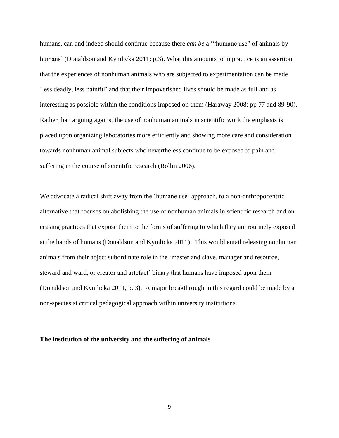humans, can and indeed should continue because there *can be* a '"humane use" of animals by humans' (Donaldson and Kymlicka 2011: p.3). What this amounts to in practice is an assertion that the experiences of nonhuman animals who are subjected to experimentation can be made 'less deadly, less painful' and that their impoverished lives should be made as full and as interesting as possible within the conditions imposed on them (Haraway 2008: pp 77 and 89-90). Rather than arguing against the use of nonhuman animals in scientific work the emphasis is placed upon organizing laboratories more efficiently and showing more care and consideration towards nonhuman animal subjects who nevertheless continue to be exposed to pain and suffering in the course of scientific research (Rollin 2006).

We advocate a radical shift away from the 'humane use' approach, to a non-anthropocentric alternative that focuses on abolishing the use of nonhuman animals in scientific research and on ceasing practices that expose them to the forms of suffering to which they are routinely exposed at the hands of humans (Donaldson and Kymlicka 2011). This would entail releasing nonhuman animals from their abject subordinate role in the 'master and slave, manager and resource, steward and ward, or creator and artefact' binary that humans have imposed upon them (Donaldson and Kymlicka 2011, p. 3). A major breakthrough in this regard could be made by a non-speciesist critical pedagogical approach within university institutions.

### **The institution of the university and the suffering of animals**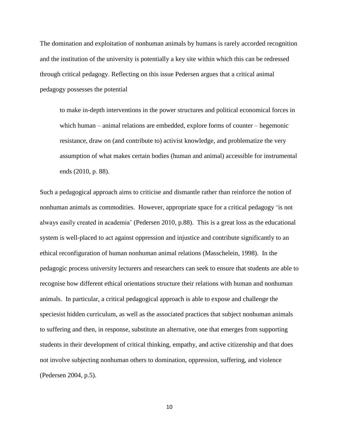The domination and exploitation of nonhuman animals by humans is rarely accorded recognition and the institution of the university is potentially a key site within which this can be redressed through critical pedagogy. Reflecting on this issue Pedersen argues that a critical animal pedagogy possesses the potential

to make in-depth interventions in the power structures and political economical forces in which human – animal relations are embedded, explore forms of counter – hegemonic resistance, draw on (and contribute to) activist knowledge, and problematize the very assumption of what makes certain bodies (human and animal) accessible for instrumental ends (2010, p. 88).

Such a pedagogical approach aims to criticise and dismantle rather than reinforce the notion of nonhuman animals as commodities. However, appropriate space for a critical pedagogy 'is not always easily created in academia' (Pedersen 2010, p.88). This is a great loss as the educational system is well-placed to act against oppression and injustice and contribute significantly to an ethical reconfiguration of human nonhuman animal relations (Masschelein, 1998). In the pedagogic process university lecturers and researchers can seek to ensure that students are able to recognise how different ethical orientations structure their relations with human and nonhuman animals. In particular, a critical pedagogical approach is able to expose and challenge the speciesist hidden curriculum, as well as the associated practices that subject nonhuman animals to suffering and then, in response, substitute an alternative, one that emerges from supporting students in their development of critical thinking, empathy, and active citizenship and that does not involve subjecting nonhuman others to domination, oppression, suffering, and violence (Pedersen 2004, p.5).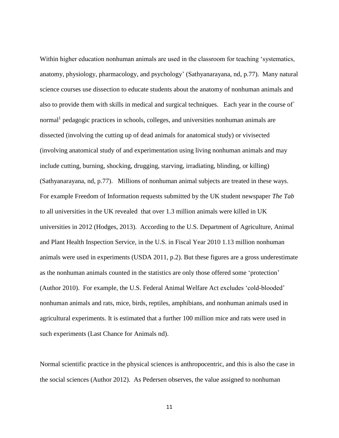Within higher education nonhuman animals are used in the classroom for teaching 'systematics, anatomy, physiology, pharmacology, and psychology' (Sathyanarayana, nd, p.77). Many natural science courses use dissection to educate students about the anatomy of nonhuman animals and also to provide them with skills in medical and surgical techniques. Each year in the course of` normal<sup>1</sup> pedagogic practices in schools, colleges, and universities nonhuman animals are dissected (involving the cutting up of dead animals for anatomical study) or vivisected (involving anatomical study of and experimentation using living nonhuman animals and may include cutting, burning, shocking, drugging, starving, irradiating, blinding, or killing) (Sathyanarayana, nd, p.77). Millions of nonhuman animal subjects are treated in these ways. For example Freedom of Information requests submitted by the UK student newspaper *The Tab* to all universities in the UK revealed that over 1.3 million animals were killed in UK universities in 2012 (Hodges, 2013). According to the U.S. Department of Agriculture, Animal and Plant Health Inspection Service, in the U.S. in Fiscal Year 2010 1.13 million nonhuman animals were used in experiments (USDA 2011, p.2). But these figures are a gross underestimate as the nonhuman animals counted in the statistics are only those offered some 'protection' (Author 2010). For example, the U.S. Federal Animal Welfare Act excludes 'cold-blooded' nonhuman animals and rats, mice, birds, reptiles, amphibians, and nonhuman animals used in agricultural experiments. It is estimated that a further 100 million mice and rats were used in such experiments (Last Chance for Animals nd).

Normal scientific practice in the physical sciences is anthropocentric, and this is also the case in the social sciences (Author 2012). As Pedersen observes, the value assigned to nonhuman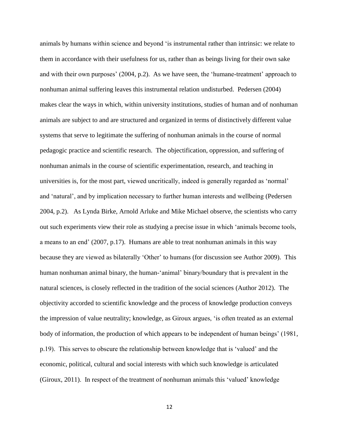animals by humans within science and beyond 'is instrumental rather than intrinsic: we relate to them in accordance with their usefulness for us, rather than as beings living for their own sake and with their own purposes' (2004, p.2). As we have seen, the 'humane-treatment' approach to nonhuman animal suffering leaves this instrumental relation undisturbed. Pedersen (2004) makes clear the ways in which, within university institutions, studies of human and of nonhuman animals are subject to and are structured and organized in terms of distinctively different value systems that serve to legitimate the suffering of nonhuman animals in the course of normal pedagogic practice and scientific research. The objectification, oppression, and suffering of nonhuman animals in the course of scientific experimentation, research, and teaching in universities is, for the most part, viewed uncritically, indeed is generally regarded as 'normal' and 'natural', and by implication necessary to further human interests and wellbeing (Pedersen 2004, p.2). As Lynda Birke, Arnold Arluke and Mike Michael observe, the scientists who carry out such experiments view their role as studying a precise issue in which 'animals become tools, a means to an end' (2007, p.17). Humans are able to treat nonhuman animals in this way because they are viewed as bilaterally 'Other' to humans (for discussion see Author 2009). This human nonhuman animal binary, the human-'animal' binary/boundary that is prevalent in the natural sciences, is closely reflected in the tradition of the social sciences (Author 2012). The objectivity accorded to scientific knowledge and the process of knowledge production conveys the impression of value neutrality; knowledge, as Giroux argues, 'is often treated as an external body of information, the production of which appears to be independent of human beings' (1981, p.19). This serves to obscure the relationship between knowledge that is 'valued' and the economic, political, cultural and social interests with which such knowledge is articulated (Giroux, 2011). In respect of the treatment of nonhuman animals this 'valued' knowledge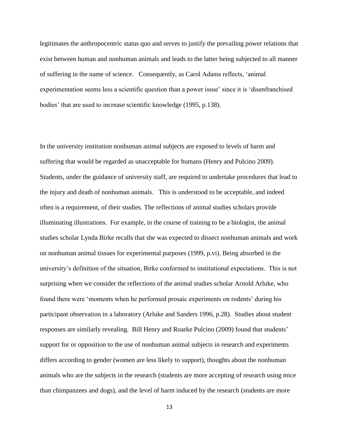legitimates the anthropocentric status quo and serves to justify the prevailing power relations that exist between human and nonhuman animals and leads to the latter being subjected to all manner of suffering in the name of science. Consequently, as Carol Adams reflects, 'animal experimentation seems less a scientific question than a power issue' since it is 'disenfranchised bodies' that are used to increase scientific knowledge (1995, p.138).

In the university institution nonhuman animal subjects are exposed to levels of harm and suffering that would be regarded as unacceptable for humans (Henry and Pulcino 2009). Students, under the guidance of university staff, are required to undertake procedures that lead to the injury and death of nonhuman animals. This is understood to be acceptable, and indeed often is a requirement, of their studies. The reflections of animal studies scholars provide illuminating illustrations. For example, in the course of training to be a biologist, the animal studies scholar Lynda Birke recalls that she was expected to dissect nonhuman animals and work on nonhuman animal tissues for experimental purposes (1999, p.vi). Being absorbed in the university's definition of the situation, Birke conformed to institutional expectations. This is not surprising when we consider the reflections of the animal studies scholar Arnold Arluke, who found there were 'moments when he performed prosaic experiments on rodents' during his participant observation in a laboratory (Arluke and Sanders 1996, p.28). Studies about student responses are similarly revealing. Bill Henry and Roarke Pulcino (2009) found that students' support for or opposition to the use of nonhuman animal subjects in research and experiments differs according to gender (women are less likely to support), thoughts about the nonhuman animals who are the subjects in the research (students are more accepting of research using mice than chimpanzees and dogs), and the level of harm induced by the research (students are more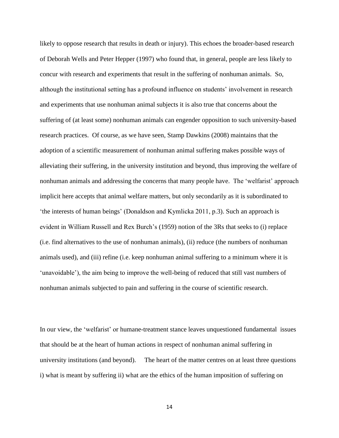likely to oppose research that results in death or injury). This echoes the broader-based research of Deborah Wells and Peter Hepper (1997) who found that, in general, people are less likely to concur with research and experiments that result in the suffering of nonhuman animals. So, although the institutional setting has a profound influence on students' involvement in research and experiments that use nonhuman animal subjects it is also true that concerns about the suffering of (at least some) nonhuman animals can engender opposition to such university-based research practices. Of course, as we have seen, Stamp Dawkins (2008) maintains that the adoption of a scientific measurement of nonhuman animal suffering makes possible ways of alleviating their suffering, in the university institution and beyond, thus improving the welfare of nonhuman animals and addressing the concerns that many people have. The 'welfarist' approach implicit here accepts that animal welfare matters, but only secondarily as it is subordinated to 'the interests of human beings' (Donaldson and Kymlicka 2011, p.3). Such an approach is evident in William Russell and Rex Burch's (1959) notion of the 3Rs that seeks to (i) replace (i.e. find alternatives to the use of nonhuman animals), (ii) reduce (the numbers of nonhuman animals used), and (iii) refine (i.e. keep nonhuman animal suffering to a minimum where it is 'unavoidable'), the aim being to improve the well-being of reduced that still vast numbers of nonhuman animals subjected to pain and suffering in the course of scientific research.

In our view, the 'welfarist' or humane-treatment stance leaves unquestioned fundamental issues that should be at the heart of human actions in respect of nonhuman animal suffering in university institutions (and beyond). The heart of the matter centres on at least three questions i) what is meant by suffering ii) what are the ethics of the human imposition of suffering on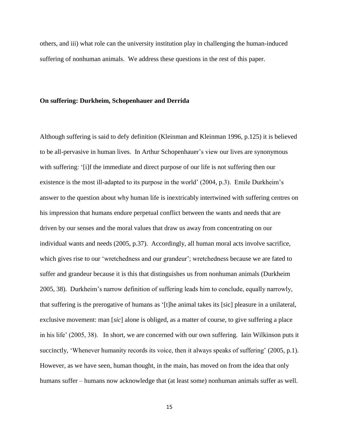others, and iii) what role can the university institution play in challenging the human-induced suffering of nonhuman animals. We address these questions in the rest of this paper.

#### **On suffering: Durkheim, Schopenhauer and Derrida**

Although suffering is said to defy definition (Kleinman and Kleinman 1996, p.125) it is believed to be all-pervasive in human lives. In Arthur Schopenhauer's view our lives are synonymous with suffering: '[i]f the immediate and direct purpose of our life is not suffering then our existence is the most ill-adapted to its purpose in the world' (2004, p.3). Emile Durkheim's answer to the question about why human life is inextricably intertwined with suffering centres on his impression that humans endure perpetual conflict between the wants and needs that are driven by our senses and the moral values that draw us away from concentrating on our individual wants and needs (2005, p.37). Accordingly, all human moral acts involve sacrifice, which gives rise to our 'wretchedness and our grandeur'; wretchedness because we are fated to suffer and grandeur because it is this that distinguishes us from nonhuman animals (Durkheim 2005, 38). Durkheim's narrow definition of suffering leads him to conclude, equally narrowly, that suffering is the prerogative of humans as '[t]he animal takes its [sic] pleasure in a unilateral, exclusive movement: man [*sic*] alone is obliged, as a matter of course, to give suffering a place in his life' (2005, 38). In short, we are concerned with our own suffering. Iain Wilkinson puts it succinctly, 'Whenever humanity records its voice, then it always speaks of suffering' (2005, p.1). However, as we have seen, human thought, in the main, has moved on from the idea that only humans suffer – humans now acknowledge that (at least some) nonhuman animals suffer as well.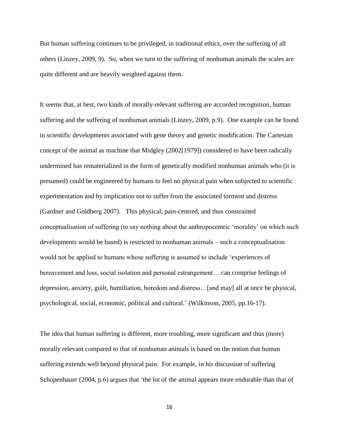But human suffering continues to be privileged, in traditional ethics, over the suffering of all others (Linzey, 2009, 9). So, when we turn to the suffering of nonhuman animals the scales are quite different and are heavily weighted against them.

It seems that, at best, two kinds of morally-relevant suffering are accorded recognition, human suffering and the suffering of nonhuman animals (Linzey, 2009, p.9). One example can be found in scientific developments associated with gene theory and genetic modification. The Cartesian concept of the animal as machine that Midgley (2002[1979]) considered to have been radically undermined has rematerialized in the form of genetically modified nonhuman animals who (it is presumed) could be engineered by humans to feel no physical pain when subjected to scientific experimentation and by implication not to suffer from the associated torment and distress (Gardner and Goldberg 2007). This physical, pain-centred, and thus constrained conceptualisation of suffering (to say nothing about the anthropocentric 'morality' on which such developments would be based) is restricted to nonhuman animals – such a conceptualisation would not be applied to humans whose suffering is assumed to include 'experiences of bereavement and loss, social isolation and personal estrangement… can comprise feelings of depression, anxiety, guilt, humiliation, boredom and distress…[and may] all at once be physical, psychological, social, economic, political and cultural.' (Wilkinson, 2005, pp.16-17).

The idea that human suffering is different, more troubling, more significant and thus (more) morally relevant compared to that of nonhuman animals is based on the notion that human suffering extends well beyond physical pain. For example, in his discussion of suffering Schopenhauer (2004, p.6) argues that 'the lot of the animal appears more endurable than that of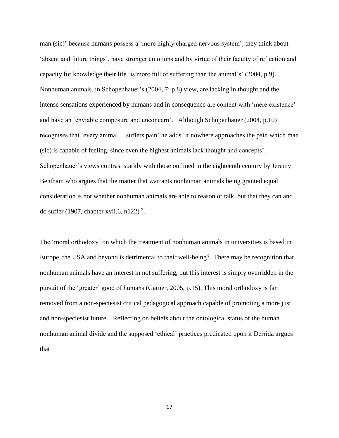man (sic)' because humans possess a 'more highly charged nervous system', they think about 'absent and future things', have stronger emotions and by virtue of their faculty of reflection and capacity for knowledge their life 'is more full of suffering than the animal's' (2004, p.9). Nonhuman animals, in Schopenhauer's (2004, 7: p.8) view, are lacking in thought and the intense sensations experienced by humans and in consequence are content with 'mere existence' and have an 'enviable composure and unconcern'. Although Schopenhauer (2004, p.10) recognises that 'every animal ... suffers pain' he adds 'it nowhere approaches the pain which man (sic) is capable of feeling, since even the highest animals lack thought and concepts'. Schopenhauer's views contrast starkly with those outlined in the eighteenth century by Jeremy Bentham who argues that the matter that warrants nonhuman animals being granted equal consideration is not whether nonhuman animals are able to reason or talk, but that they can and do suffer (1907, chapter xvii.6, n122)<sup>2</sup>.

The 'moral orthodoxy' on which the treatment of nonhuman animals in universities is based in Europe, the USA and beyond is detrimental to their well-being<sup>3</sup>. There may be recognition that nonhuman animals have an interest in not suffering, but this interest is simply overridden in the pursuit of the 'greater' good of humans (Garner, 2005, p.15). This moral orthodoxy is far removed from a non-speciesist critical pedagogical approach capable of promoting a more just and non-speciesist future. Reflecting on beliefs about the ontological status of the human nonhuman animal divide and the supposed 'ethical' practices predicated upon it Derrida argues that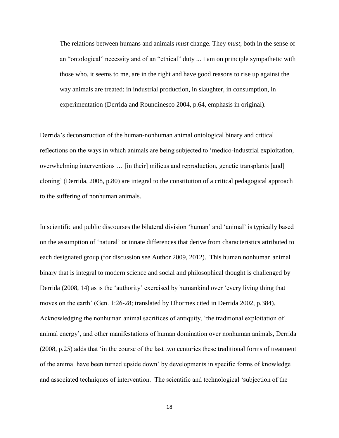The relations between humans and animals *must* change. They *must*, both in the sense of an "ontological" necessity and of an "ethical" duty ... I am on principle sympathetic with those who, it seems to me, are in the right and have good reasons to rise up against the way animals are treated: in industrial production, in slaughter, in consumption, in experimentation (Derrida and Roundinesco 2004, p.64, emphasis in original).

Derrida's deconstruction of the human-nonhuman animal ontological binary and critical reflections on the ways in which animals are being subjected to 'medico-industrial exploitation, overwhelming interventions … [in their] milieus and reproduction, genetic transplants [and] cloning' (Derrida, 2008, p.80) are integral to the constitution of a critical pedagogical approach to the suffering of nonhuman animals.

In scientific and public discourses the bilateral division 'human' and 'animal' is typically based on the assumption of 'natural' or innate differences that derive from characteristics attributed to each designated group (for discussion see Author 2009, 2012). This human nonhuman animal binary that is integral to modern science and social and philosophical thought is challenged by Derrida (2008, 14) as is the 'authority' exercised by humankind over 'every living thing that moves on the earth' (Gen. 1:26-28; translated by Dhormes cited in Derrida 2002, p.384). Acknowledging the nonhuman animal sacrifices of antiquity, 'the traditional exploitation of animal energy', and other manifestations of human domination over nonhuman animals, Derrida (2008, p.25) adds that 'in the course of the last two centuries these traditional forms of treatment of the animal have been turned upside down' by developments in specific forms of knowledge and associated techniques of intervention. The scientific and technological 'subjection of the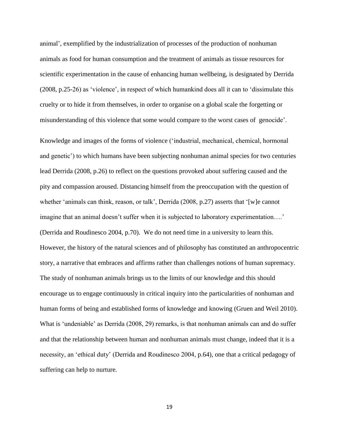animal', exemplified by the industrialization of processes of the production of nonhuman animals as food for human consumption and the treatment of animals as tissue resources for scientific experimentation in the cause of enhancing human wellbeing, is designated by Derrida (2008, p.25-26) as 'violence', in respect of which humankind does all it can to 'dissimulate this cruelty or to hide it from themselves, in order to organise on a global scale the forgetting or misunderstanding of this violence that some would compare to the worst cases of genocide'.

Knowledge and images of the forms of violence ('industrial, mechanical, chemical, hormonal and genetic') to which humans have been subjecting nonhuman animal species for two centuries lead Derrida (2008, p.26) to reflect on the questions provoked about suffering caused and the pity and compassion aroused. Distancing himself from the preoccupation with the question of whether 'animals can think, reason, or talk', Derrida (2008, p.27) asserts that '[w]e cannot imagine that an animal doesn't suffer when it is subjected to laboratory experimentation….' (Derrida and Roudinesco 2004, p.70). We do not need time in a university to learn this. However, the history of the natural sciences and of philosophy has constituted an anthropocentric story, a narrative that embraces and affirms rather than challenges notions of human supremacy. The study of nonhuman animals brings us to the limits of our knowledge and this should encourage us to engage continuously in critical inquiry into the particularities of nonhuman and human forms of being and established forms of knowledge and knowing (Gruen and Weil 2010). What is 'undeniable' as Derrida (2008, 29) remarks, is that nonhuman animals can and do suffer and that the relationship between human and nonhuman animals must change, indeed that it is a necessity, an 'ethical duty' (Derrida and Roudinesco 2004, p.64), one that a critical pedagogy of suffering can help to nurture.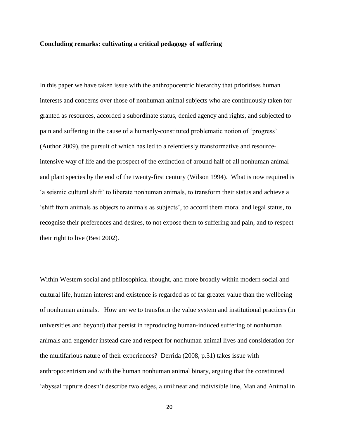# **Concluding remarks: cultivating a critical pedagogy of suffering**

In this paper we have taken issue with the anthropocentric hierarchy that prioritises human interests and concerns over those of nonhuman animal subjects who are continuously taken for granted as resources, accorded a subordinate status, denied agency and rights, and subjected to pain and suffering in the cause of a humanly-constituted problematic notion of 'progress' (Author 2009), the pursuit of which has led to a relentlessly transformative and resourceintensive way of life and the prospect of the extinction of around half of all nonhuman animal and plant species by the end of the twenty-first century (Wilson 1994). What is now required is 'a seismic cultural shift' to liberate nonhuman animals, to transform their status and achieve a 'shift from animals as objects to animals as subjects', to accord them moral and legal status, to recognise their preferences and desires, to not expose them to suffering and pain, and to respect their right to live (Best 2002).

Within Western social and philosophical thought, and more broadly within modern social and cultural life, human interest and existence is regarded as of far greater value than the wellbeing of nonhuman animals. How are we to transform the value system and institutional practices (in universities and beyond) that persist in reproducing human-induced suffering of nonhuman animals and engender instead care and respect for nonhuman animal lives and consideration for the multifarious nature of their experiences? Derrida (2008, p.31) takes issue with anthropocentrism and with the human nonhuman animal binary, arguing that the constituted 'abyssal rupture doesn't describe two edges, a unilinear and indivisible line, Man and Animal in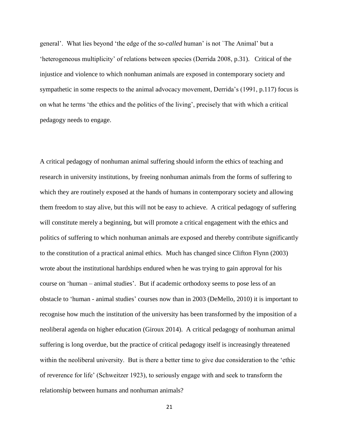general'. What lies beyond 'the edge of the *so-called* human' is not `The Animal' but a 'heterogeneous multiplicity' of relations between species (Derrida 2008, p.31). Critical of the injustice and violence to which nonhuman animals are exposed in contemporary society and sympathetic in some respects to the animal advocacy movement, Derrida's (1991, p.117) focus is on what he terms 'the ethics and the politics of the living', precisely that with which a critical pedagogy needs to engage.

A critical pedagogy of nonhuman animal suffering should inform the ethics of teaching and research in university institutions, by freeing nonhuman animals from the forms of suffering to which they are routinely exposed at the hands of humans in contemporary society and allowing them freedom to stay alive, but this will not be easy to achieve. A critical pedagogy of suffering will constitute merely a beginning, but will promote a critical engagement with the ethics and politics of suffering to which nonhuman animals are exposed and thereby contribute significantly to the constitution of a practical animal ethics. Much has changed since Clifton Flynn (2003) wrote about the institutional hardships endured when he was trying to gain approval for his course on 'human – animal studies'. But if academic orthodoxy seems to pose less of an obstacle to 'human - animal studies' courses now than in 2003 (DeMello, 2010) it is important to recognise how much the institution of the university has been transformed by the imposition of a neoliberal agenda on higher education (Giroux 2014). A critical pedagogy of nonhuman animal suffering is long overdue, but the practice of critical pedagogy itself is increasingly threatened within the neoliberal university. But is there a better time to give due consideration to the 'ethic of reverence for life' (Schweitzer 1923), to seriously engage with and seek to transform the relationship between humans and nonhuman animals?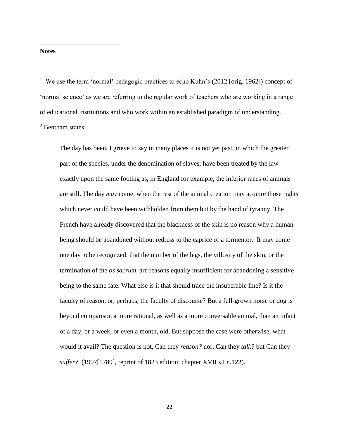#### **Notes**

 $\overline{\phantom{a}}$ 

<sup>1</sup> We use the term 'normal' pedagogic practices to echo Kuhn's (2012 [orig. 1962]) concept of 'normal science' as we are referring to the regular work of teachers who are working in a range of educational institutions and who work within an established paradigm of understanding. <sup>2</sup> Bentham states:

The day has been, I grieve to say in many places it is not yet past, in which the greater part of the species, under the denomination of slaves, have been treated by the law exactly upon the same footing as, in England for example, the inferior races of animals are still. The day *may* come, when the rest of the animal creation may acquire those rights which never could have been withholden from them but by the hand of tyranny. The French have already discovered that the blackness of the skin is no reason why a human being should be abandoned without redress to the caprice of a tormentor. It may come one day to be recognized, that the number of the legs, the villosity of the skin, or the termination of the *os sacrum,* are reasons equally insufficient for abandoning a sensitive being to the same fate. What else is it that should trace the insuperable line? Is it the faculty of reason, or, perhaps, the faculty of discourse? But a full-grown horse or dog is beyond comparison a more rational, as well as a more conversable animal, than an infant of a day, or a week, or even a month, old. But suppose the case were otherwise, what would it avail? The question is not, Can they *reason?* nor, Can they *talk?* but Can they *suffer?* (1907[1789], reprint of 1823 edition: chapter XVII s.I n.122).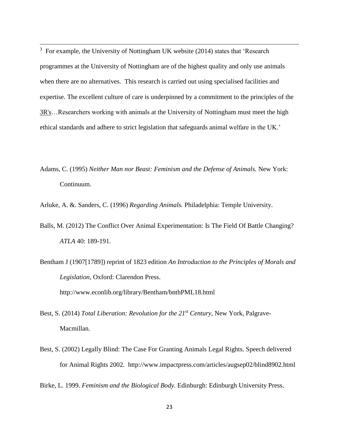<sup>3</sup> For example, the University of Nottingham UK website (2014) states that 'Research programmes at the University of Nottingham are of the highest quality and only use animals when there are no alternatives. This research is carried out using specialised facilities and expertise. The excellent culture of care is underpinned by a commitment to the principles of the [3R's…](http://www.nc3rs.org.uk/page.asp?id=7)Researchers working with animals at the University of Nottingham must meet the high ethical standards and adhere to strict legislation that safeguards animal welfare in the UK.'

 $\overline{\phantom{a}}$ 

Adams, C. (1995) *Neither Man nor Beast: Feminism and the Defense of Animals.* New York: Continuum.

Arluke, A. &. Sanders, C. (1996) *Regarding Animals.* Philadelphia: Temple University.

- Balls, M. (2012) The Conflict Over Animal Experimentation: Is The Field Of Battle Changing? *ATLA* 40: 189-191.
- Bentham J (1907[1789]) reprint of 1823 edition *An Introduction to the Principles of Morals and Legislation*, Oxford: Clarendon Press. http://www.econlib.org/library/Bentham/bnthPML18.html
- Best, S. (2014) *Total Liberation: Revolution for the 21st Century*, New York, Palgrave-Macmillan.
- Best, S. (2002) Legally Blind: The Case For Granting Animals Legal Rights. Speech delivered for Animal Rights 2002. http://www.impactpress.com/articles/augsep02/blind8902.html

Birke, L. 1999. *Feminism and the Biological Body.* Edinburgh: Edinburgh University Press.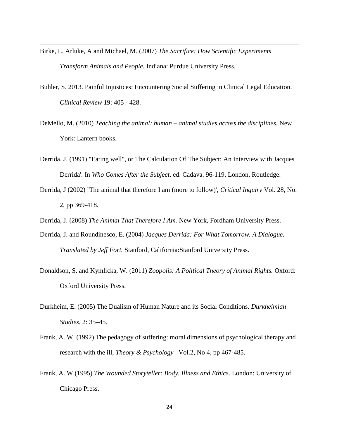Birke, L. Arluke, A and Michael, M. (2007) *The Sacrifice: How Scientific Experiments Transform Animals and People.* Indiana: Purdue University Press.

 $\overline{\phantom{a}}$ 

- Buhler, S. 2013. Painful Injustices: Encountering Social Suffering in Clinical Legal Education. *Clinical Review* 19: 405 - 428.
- DeMello, M. (2010) *Teaching the animal: human – animal studies across the disciplines.* New York: Lantern books.
- Derrida, J. (1991) "Eating well", or The Calculation Of The Subject: An Interview with Jacques Derrida'. In *Who Comes After the Subject*. ed. Cadava. 96-119, London, Routledge.
- Derrida, J (2002) `The animal that therefore I am (more to follow)', *Critical Inquiry* Vol. 28, No. 2, pp 369-418.
- Derrida, J. (2008) *The Animal That Therefore I Am.* New York, Fordham University Press.
- Derrida, J. and Roundinesco, E. (2004) *Jacques Derrida: For What Tomorrow. A Dialogue. Translated by Jeff Fort.* Stanford, California:Stanford University Press.
- Donaldson, S. and Kymlicka, W. (2011) *Zoopolis: A Political Theory of Animal Rights.* Oxford: Oxford University Press.
- Durkheim, E. (2005) The Dualism of Human Nature and its Social Conditions. *Durkheimian Studies.* 2: 35–45.
- Frank, A. W. (1992) The pedagogy of suffering: moral dimensions of psychological therapy and research with the ill, *Theory & Psychology* Vol.2, No 4, pp 467-485.
- Frank, A. W.(1995) *The Wounded Storyteller: Body, Illness and Ethics*. London: University of Chicago Press.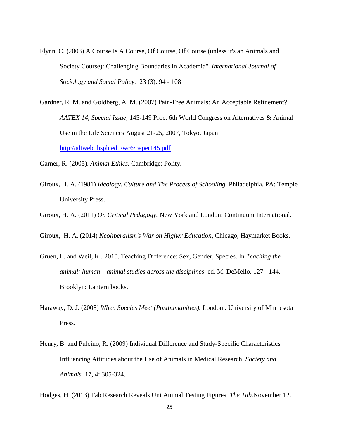- Flynn, C. (2003) A Course Is A Course, Of Course, Of Course (unless it's an Animals and Society Course): Challenging Boundaries in Academia". *International Journal of Sociology and Social Policy.* 23 (3): 94 - 108
- Gardner, R. M. and Goldberg, A. M. (2007) Pain-Free Animals: An Acceptable Refinement?, *AATEX 14, Special Issue,* 145-149 Proc. 6th World Congress on Alternatives & Animal Use in the Life Sciences August 21-25, 2007, Tokyo, Japan <http://altweb.jhsph.edu/wc6/paper145.pdf>
- Garner, R. (2005). *Animal Ethics.* Cambridge: Polity.

 $\overline{\phantom{a}}$ 

- Giroux, H. A. (1981) *Ideology, Culture and The Process of Schooling*. Philadelphia, PA: Temple University Press.
- Giroux, H. A. (2011) *On Critical Pedagogy.* New York and London: Continuum International.
- Giroux, H. A. (2014) *Neoliberalism's War on Higher Education*, Chicago, Haymarket Books.
- Gruen, L. and Weil, K . 2010. Teaching Difference: Sex, Gender, Species. In *Teaching the animal: human – animal studies across the disciplines*. ed. M. DeMello. 127 - 144. Brooklyn: Lantern books.
- Haraway, D. J. (2008) *When Species Meet (Posthumanities).* London : University of Minnesota Press.
- Henry, B. and Pulcino, R. (2009) Individual Difference and Study-Specific Characteristics Influencing Attitudes about the Use of Animals in Medical Research. *Society and Animals.* 17, 4: 305-324.
- Hodges, H. (2013) Tab Research Reveals Uni Animal Testing Figures. *The Tab*.November 12.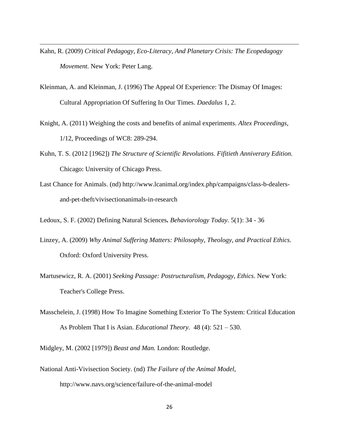Kahn, R. (2009) *Critical Pedagogy, Eco-Literacy, And Planetary Crisis: The Ecopedagogy Movement.* New York: Peter Lang.

 $\overline{\phantom{a}}$ 

- Kleinman, A. and Kleinman, J. (1996) The Appeal Of Experience: The Dismay Of Images: Cultural Appropriation Of Suffering In Our Times. *Daedalus* 1, 2.
- Knight, A. (2011) Weighing the costs and benefits of animal experiments. *Altex Proceedings*, 1/12, Proceedings of WC8: 289-294.
- Kuhn, T. S. (2012 [1962]) *The Structure of Scientific Revolutions. Fifitieth Anniverary Edition.* Chicago: University of Chicago Press.
- Last Chance for Animals. (nd) http://www.lcanimal.org/index.php/campaigns/class-b-dealersand-pet-theft/vivisectionanimals-in-research

Ledoux, S. F. (2002) Defining Natural Sciences*. Behaviorology Today.* 5(1): 34 - 36

- Linzey, A. (2009) *Why Animal Suffering Matters: Philosophy, Theology, and Practical Ethics.* Oxford: Oxford University Press.
- Martusewicz, R. A. (2001) *Seeking Passage: Postructuralism, Pedagogy, Ethics*. New York: Teacher's College Press.
- Masschelein, J. (1998) How To Imagine Something Exterior To The System: Critical Education As Problem That I is Asian. *Educational Theory.* 48 (4): 521 – 530.

Midgley, M. (2002 [1979]) *Beast and Man.* London: Routledge.

National Anti-Vivisection Society. (nd) *The Failure of the Animal Model*, http://www.navs.org/science/failure-of-the-animal-model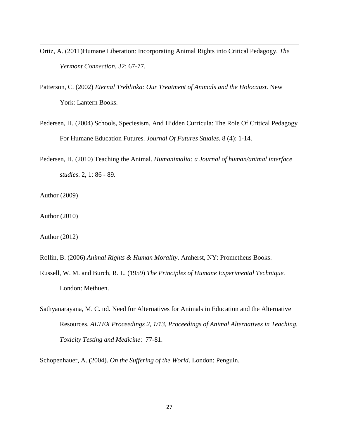- Ortiz, A. (2011)Humane Liberation: Incorporating Animal Rights into Critical Pedagogy, *The Vermont Connection.* 32: 67-77.
- Patterson, C. (2002) *Eternal Treblinka: Our Treatment of Animals and the Holocaust*. New York: Lantern Books.
- Pedersen, H. (2004) Schools, Speciesism, And Hidden Curricula: The Role Of Critical Pedagogy For Humane Education Futures. *Journal Of Futures Studies.* 8 (4): 1-14.
- Pedersen, H. (2010) Teaching the Animal. *Humanimalia: a Journal of human/animal interface studies*. 2, 1: 86 - 89.
- Author (2009)

 $\overline{\phantom{a}}$ 

- Author (2010)
- Author (2012)
- Rollin, B. (2006) *Animal Rights & Human Morality*. Amherst, NY: Prometheus Books.
- Russell, W. M. and Burch, R. L. (1959) *The Principles of Humane Experimental Technique.* London: Methuen.
- Sathyanarayana, M. C. nd. Need for Alternatives for Animals in Education and the Alternative Resources. *ALTEX Proceedings 2, 1/13, Proceedings of Animal Alternatives in Teaching, Toxicity Testing and Medicine*: 77-81.

Schopenhauer, A. (2004). *On the Suffering of the World*. London: Penguin.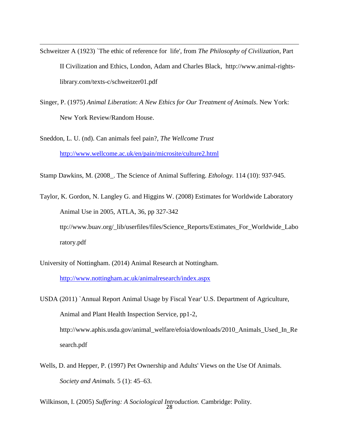- Schweitzer A (1923) `The ethic of reference for life', from *The Philosophy of Civilization*, Part II Civilization and Ethics, London, Adam and Charles Black, http://www.animal-rightslibrary.com/texts-c/schweitzer01.pdf
- Singer, P. (1975) *Animal Liberation*: *A New Ethics for Our Treatment of Animals*. New York: New York Review/Random House.

Sneddon, L. U. (nd). Can animals feel pain?, *The Wellcome Trust* http://www.wellcome.ac.uk/en/pain/microsite/culture2.html

 $\overline{\phantom{a}}$ 

Stamp Dawkins, M. (2008\_. The Science of Animal Suffering. *Ethology.* 114 (10): 937-945.

Taylor, K. Gordon, N. Langley G. and Higgins W. (2008) Estimates for Worldwide Laboratory Animal Use in 2005, ATLA, 36, pp 327-342 ttp://www.buav.org/\_lib/userfiles/files/Science\_Reports/Estimates\_For\_Worldwide\_Labo ratory.pdf

University of Nottingham. (2014) Animal Research at Nottingham.

<http://www.nottingham.ac.uk/animalresearch/index.aspx>

USDA (2011) `Annual Report Animal Usage by Fiscal Year' U.S. Department of Agriculture, Animal and Plant Health Inspection Service, pp1-2, http://www.aphis.usda.gov/animal\_welfare/efoia/downloads/2010\_Animals\_Used\_In\_Re search.pdf

Wells, D. and Hepper, P. (1997) Pet Ownership and Adults' Views on the Use Of Animals. *Society and Animals.* 5 (1): 45–63.

28 Wilkinson, I. (2005) *Suffering: A Sociological Introduction.* Cambridge: Polity.